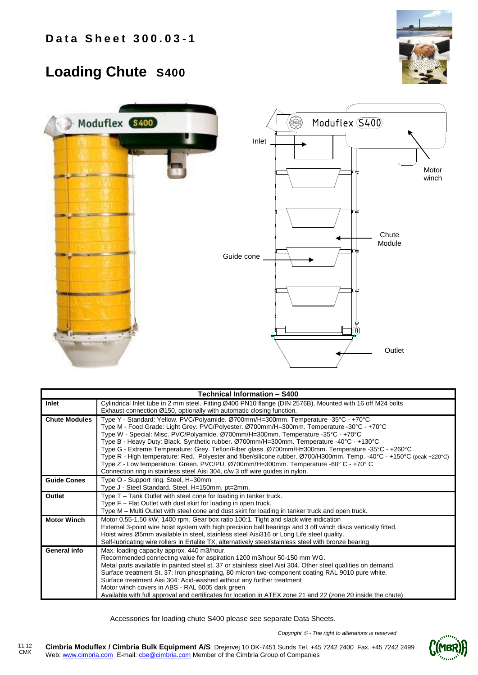## **Loading Chute S400**





| Technical Information - S400 |                                                                                                                                                                                                                                                                                                                                                                                                                                                                                                                                                                                                                                                                                                                                                                        |  |  |  |  |  |
|------------------------------|------------------------------------------------------------------------------------------------------------------------------------------------------------------------------------------------------------------------------------------------------------------------------------------------------------------------------------------------------------------------------------------------------------------------------------------------------------------------------------------------------------------------------------------------------------------------------------------------------------------------------------------------------------------------------------------------------------------------------------------------------------------------|--|--|--|--|--|
| Inlet                        | Cylindrical Inlet tube in 2 mm steel. Fitting Ø400 PN10 flange (DIN 2576B). Mounted with 16 off M24 bolts<br>Exhaust connection Ø150, optionally with automatic closing function.                                                                                                                                                                                                                                                                                                                                                                                                                                                                                                                                                                                      |  |  |  |  |  |
| <b>Chute Modules</b>         | Type Y - Standard: Yellow. PVC/Polyamide. Ø700mm/H=300mm. Temperature -35°C - +70°C<br>Type M - Food Grade: Light Grey. PVC/Polyester. Ø700mm/H=300mm. Temperature -30°C - +70°C<br>Type W - Special: Misc. PVC/Polyamide. Ø700mm/H=300mm. Temperature -35°C - +70°C<br>Type B - Heavy Duty: Black. Synthetic rubber. Ø700mm/H=300mm. Temperature -40°C - +130°C<br>Type G - Extreme Temperature: Grey. Teflon/Fiber glass. Ø700mm/H=300mm. Temperature -35°C - +260°C<br>Type R - High temperature: Red. Polyester and fiber/silicone rubber. Ø700/H300mm. Temp. -40°C - +150°C (peak +220°C)<br>Type Z - Low temperature: Green. PVC/PU. Ø700mm/H=300mm. Temperature -60° C - +70° C<br>Connection ring in stainless steel Aisi 304, c/w 3 off wire guides in nylon. |  |  |  |  |  |
| <b>Guide Cones</b>           | Type O - Support ring. Steel, H=30mm<br>Type J - Steel Standard. Steel, H=150mm, pt=2mm.                                                                                                                                                                                                                                                                                                                                                                                                                                                                                                                                                                                                                                                                               |  |  |  |  |  |
| Outlet                       | Type T – Tank Outlet with steel cone for loading in tanker truck.<br>Type F - Flat Outlet with dust skirt for loading in open truck.<br>Type M – Multi Outlet with steel cone and dust skirt for loading in tanker truck and open truck.                                                                                                                                                                                                                                                                                                                                                                                                                                                                                                                               |  |  |  |  |  |
| <b>Motor Winch</b>           | Motor 0.55-1.50 kW, 1400 rpm. Gear box ratio 100:1. Tight and slack wire indication<br>External 3-point wire hoist system with high precision ball bearings and 3 off winch discs vertically fitted.<br>Hoist wires Ø5mm available in steel, stainless steel Aisi316 or Long Life steel quality.<br>Self-lubricating wire rollers in Ertalite TX, alternatively steel/stainless steel with bronze bearing                                                                                                                                                                                                                                                                                                                                                              |  |  |  |  |  |
| General info                 | Max. loading capacity approx. 440 m3/hour.<br>Recommended connecting value for aspiration 1200 m3/hour 50-150 mm WG.<br>Metal parts available in painted steel st. 37 or stainless steel Aisi 304. Other steel qualities on demand.<br>Surface treatment St. 37: Iron phosphating, 80 micron two-component coating RAL 9010 pure white.<br>Surface treatment Aisi 304: Acid-washed without any further treatment<br>Motor winch covers in ABS - RAL 6005 dark green<br>Available with full approval and certificates for location in ATEX zone 21 and 22 (zone 20 inside the chute)                                                                                                                                                                                    |  |  |  |  |  |

Accessories for loading chute S400 please see separate Data Sheets.

*Copyright - The right to alterations is reserved*